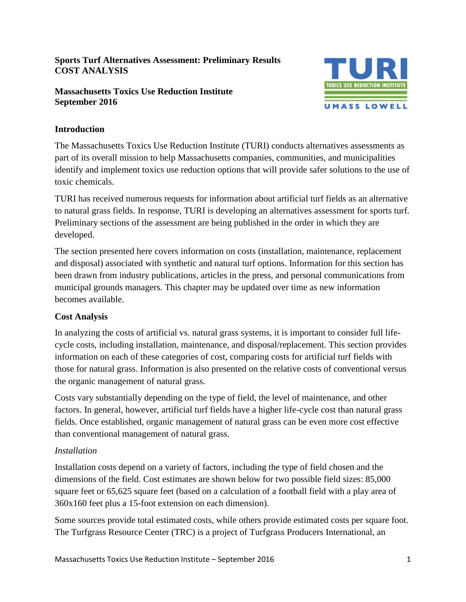# **Sports Turf Alternatives Assessment: Preliminary Results COST ANALYSIS**

#### **Massachusetts Toxics Use Reduction Institute September 2016**



# **Introduction**

The Massachusetts Toxics Use Reduction Institute (TURI) conducts alternatives assessments as part of its overall mission to help Massachusetts companies, communities, and municipalities identify and implement toxics use reduction options that will provide safer solutions to the use of toxic chemicals.

TURI has received numerous requests for information about artificial turf fields as an alternative to natural grass fields. In response, TURI is developing an alternatives assessment for sports turf. Preliminary sections of the assessment are being published in the order in which they are developed.

The section presented here covers information on costs (installation, maintenance, replacement and disposal) associated with synthetic and natural turf options. Information for this section has been drawn from industry publications, articles in the press, and personal communications from municipal grounds managers. This chapter may be updated over time as new information becomes available.

# **Cost Analysis**

In analyzing the costs of artificial vs. natural grass systems, it is important to consider full lifecycle costs, including installation, maintenance, and disposal/replacement. This section provides information on each of these categories of cost, comparing costs for artificial turf fields with those for natural grass. Information is also presented on the relative costs of conventional versus the organic management of natural grass.

Costs vary substantially depending on the type of field, the level of maintenance, and other factors. In general, however, artificial turf fields have a higher life-cycle cost than natural grass fields. Once established, organic management of natural grass can be even more cost effective than conventional management of natural grass.

# *Installation*

Installation costs depend on a variety of factors, including the type of field chosen and the dimensions of the field. Cost estimates are shown below for two possible field sizes: 85,000 square feet or 65,625 square feet (based on a calculation of a football field with a play area of 360x160 feet plus a 15-foot extension on each dimension).

Some sources provide total estimated costs, while others provide estimated costs per square foot. The Turfgrass Resource Center (TRC) is a project of Turfgrass Producers International, an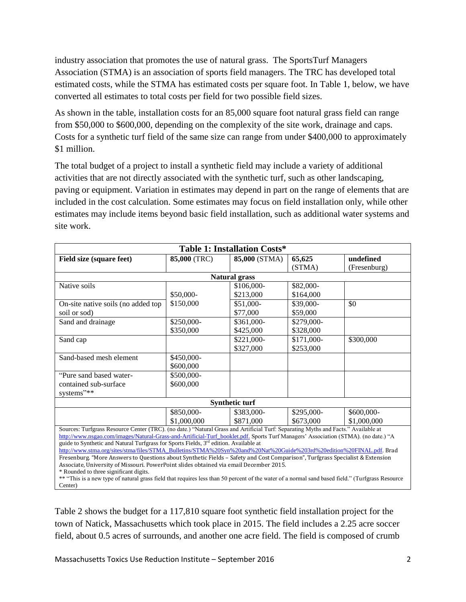industry association that promotes the use of natural grass. The SportsTurf Managers Association (STMA) is an association of sports field managers. The TRC has developed total estimated costs, while the STMA has estimated costs per square foot. In Table 1, below, we have converted all estimates to total costs per field for two possible field sizes.

As shown in the table, installation costs for an 85,000 square foot natural grass field can range from \$50,000 to \$600,000, depending on the complexity of the site work, drainage and caps. Costs for a synthetic turf field of the same size can range from under \$400,000 to approximately \$1 million.

The total budget of a project to install a synthetic field may include a variety of additional activities that are not directly associated with the synthetic turf, such as other landscaping, paving or equipment. Variation in estimates may depend in part on the range of elements that are included in the cost calculation. Some estimates may focus on field installation only, while other estimates may include items beyond basic field installation, such as additional water systems and site work.

| Table 1: Installation Costs*                                                                                                                                                                                                                                                                                                                                                                                                                                                                                                                                                                                                                                                                     |              |                       |            |              |
|--------------------------------------------------------------------------------------------------------------------------------------------------------------------------------------------------------------------------------------------------------------------------------------------------------------------------------------------------------------------------------------------------------------------------------------------------------------------------------------------------------------------------------------------------------------------------------------------------------------------------------------------------------------------------------------------------|--------------|-----------------------|------------|--------------|
| Field size (square feet)                                                                                                                                                                                                                                                                                                                                                                                                                                                                                                                                                                                                                                                                         | 85,000 (TRC) | 85,000 (STMA)         | 65,625     | undefined    |
|                                                                                                                                                                                                                                                                                                                                                                                                                                                                                                                                                                                                                                                                                                  |              |                       | (STMA)     | (Fresenburg) |
|                                                                                                                                                                                                                                                                                                                                                                                                                                                                                                                                                                                                                                                                                                  |              | <b>Natural grass</b>  |            |              |
| Native soils                                                                                                                                                                                                                                                                                                                                                                                                                                                                                                                                                                                                                                                                                     |              | \$106,000-            | \$82,000-  |              |
|                                                                                                                                                                                                                                                                                                                                                                                                                                                                                                                                                                                                                                                                                                  | \$50,000-    | \$213,000             | \$164,000  |              |
| On-site native soils (no added top                                                                                                                                                                                                                                                                                                                                                                                                                                                                                                                                                                                                                                                               | \$150,000    | \$51,000-             | \$39,000-  | \$0          |
| soil or sod)                                                                                                                                                                                                                                                                                                                                                                                                                                                                                                                                                                                                                                                                                     |              | \$77,000              | \$59,000   |              |
|                                                                                                                                                                                                                                                                                                                                                                                                                                                                                                                                                                                                                                                                                                  | \$250,000-   | \$361,000-            | \$279,000- |              |
|                                                                                                                                                                                                                                                                                                                                                                                                                                                                                                                                                                                                                                                                                                  | \$350,000    | \$425,000             | \$328,000  |              |
|                                                                                                                                                                                                                                                                                                                                                                                                                                                                                                                                                                                                                                                                                                  |              | \$221,000-            | \$171,000- | \$300,000    |
|                                                                                                                                                                                                                                                                                                                                                                                                                                                                                                                                                                                                                                                                                                  |              | \$327,000             | \$253,000  |              |
| Sand-based mesh element                                                                                                                                                                                                                                                                                                                                                                                                                                                                                                                                                                                                                                                                          | \$450,000-   |                       |            |              |
|                                                                                                                                                                                                                                                                                                                                                                                                                                                                                                                                                                                                                                                                                                  | \$600,000    |                       |            |              |
| "Pure sand based water-                                                                                                                                                                                                                                                                                                                                                                                                                                                                                                                                                                                                                                                                          | \$500,000-   |                       |            |              |
| contained sub-surface                                                                                                                                                                                                                                                                                                                                                                                                                                                                                                                                                                                                                                                                            | \$600,000    |                       |            |              |
| systems"**                                                                                                                                                                                                                                                                                                                                                                                                                                                                                                                                                                                                                                                                                       |              |                       |            |              |
|                                                                                                                                                                                                                                                                                                                                                                                                                                                                                                                                                                                                                                                                                                  |              | <b>Synthetic turf</b> |            |              |
|                                                                                                                                                                                                                                                                                                                                                                                                                                                                                                                                                                                                                                                                                                  | \$850,000-   | \$383,000-            | \$295,000- | \$600,000-   |
|                                                                                                                                                                                                                                                                                                                                                                                                                                                                                                                                                                                                                                                                                                  | \$1,000,000  | \$871,000             | \$673,000  | \$1,000,000  |
| Sources: Turfgrass Resource Center (TRC). (no date.) "Natural Grass and Artificial Turf: Separating Myths and Facts." Available at                                                                                                                                                                                                                                                                                                                                                                                                                                                                                                                                                               |              |                       |            |              |
|                                                                                                                                                                                                                                                                                                                                                                                                                                                                                                                                                                                                                                                                                                  |              |                       |            |              |
|                                                                                                                                                                                                                                                                                                                                                                                                                                                                                                                                                                                                                                                                                                  |              |                       |            |              |
|                                                                                                                                                                                                                                                                                                                                                                                                                                                                                                                                                                                                                                                                                                  |              |                       |            |              |
| Associate, University of Missouri. PowerPoint slides obtained via email December 2015.                                                                                                                                                                                                                                                                                                                                                                                                                                                                                                                                                                                                           |              |                       |            |              |
| * Rounded to three significant digits.                                                                                                                                                                                                                                                                                                                                                                                                                                                                                                                                                                                                                                                           |              |                       |            |              |
|                                                                                                                                                                                                                                                                                                                                                                                                                                                                                                                                                                                                                                                                                                  |              |                       |            |              |
| Sand and drainage<br>Sand cap<br>http://www.nsgao.com/images/Natural-Grass-and-Artificial-Turf_booklet.pdf. Sports Turf Managers' Association (STMA). (no date.) "A<br>guide to Synthetic and Natural Turfgrass for Sports Fields, 3 <sup>rd</sup> edition. Available at<br>http://www.stma.org/sites/stma/files/STMA_Bulletins/STMA%20Syn%20and%20Nat%20Guide%203rd%20edition%20FINAL.pdf. Brad<br>Fresenburg. "More Answers to Questions about Synthetic Fields – Safety and Cost Comparison", Turfgrass Specialist & Extension<br>** "This is a new type of natural grass field that requires less than 50 percent of the water of a normal sand based field." (Turfgrass Resource<br>Center) |              |                       |            |              |

Table 2 shows the budget for a 117,810 square foot synthetic field installation project for the town of Natick, Massachusetts which took place in 2015. The field includes a 2.25 acre soccer field, about 0.5 acres of surrounds, and another one acre field. The field is composed of crumb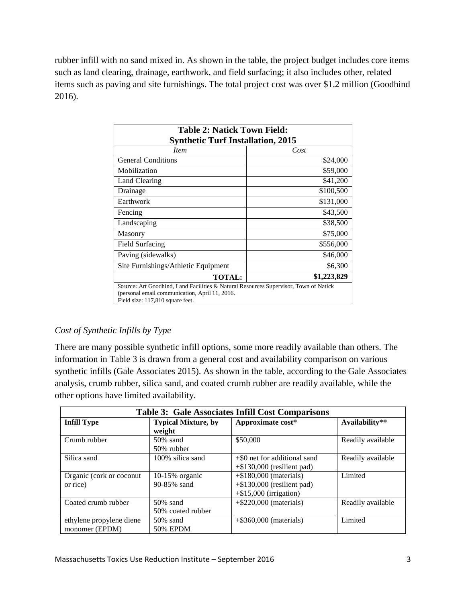rubber infill with no sand mixed in. As shown in the table, the project budget includes core items such as land clearing, drainage, earthwork, and field surfacing; it also includes other, related items such as paving and site furnishings. The total project cost was over \$1.2 million (Goodhind 2016).

| <b>Table 2: Natick Town Field:</b>                                                                                                                                         |             |  |
|----------------------------------------------------------------------------------------------------------------------------------------------------------------------------|-------------|--|
| <b>Synthetic Turf Installation, 2015</b>                                                                                                                                   |             |  |
| <i>Item</i>                                                                                                                                                                | Cost        |  |
| <b>General Conditions</b>                                                                                                                                                  | \$24,000    |  |
| Mobilization                                                                                                                                                               | \$59,000    |  |
| Land Clearing                                                                                                                                                              | \$41,200    |  |
| Drainage                                                                                                                                                                   | \$100,500   |  |
| Earthwork                                                                                                                                                                  | \$131,000   |  |
| Fencing                                                                                                                                                                    | \$43,500    |  |
| Landscaping                                                                                                                                                                | \$38,500    |  |
| Masonry                                                                                                                                                                    | \$75,000    |  |
| Field Surfacing                                                                                                                                                            | \$556,000   |  |
| Paving (sidewalks)                                                                                                                                                         | \$46,000    |  |
| Site Furnishings/Athletic Equipment                                                                                                                                        | \$6,300     |  |
| <b>TOTAL:</b>                                                                                                                                                              | \$1,223,829 |  |
| Source: Art Goodhind, Land Facilities & Natural Resources Supervisor, Town of Natick<br>(personal email communication, April 11, 2016.<br>Field size: 117,810 square feet. |             |  |

# *Cost of Synthetic Infills by Type*

There are many possible synthetic infill options, some more readily available than others. The information in Table 3 is drawn from a general cost and availability comparison on various synthetic infills (Gale Associates 2015). As shown in the table, according to the Gale Associates analysis, crumb rubber, silica sand, and coated crumb rubber are readily available, while the other options have limited availability.

| <b>Table 3: Gale Associates Infill Cost Comparisons</b> |                                      |                                                                                         |                   |
|---------------------------------------------------------|--------------------------------------|-----------------------------------------------------------------------------------------|-------------------|
| <b>Infill Type</b>                                      | <b>Typical Mixture, by</b><br>weight | Approximate cost*                                                                       | Availability**    |
| Crumb rubber                                            | $50\%$ sand<br>50% rubber            | \$50,000                                                                                | Readily available |
| Silica sand                                             | 100% silica sand                     | $+$ \$0 net for additional sand<br>$+$ \$130,000 (resilient pad)                        | Readily available |
| Organic (cork or coconut)<br>or rice)                   | $10-15\%$ organic<br>90-85% sand     | $+$ \$180,000 (materials)<br>$+$ \$130,000 (resilient pad)<br>$+$ \$15,000 (irrigation) | Limited           |
| Coated crumb rubber                                     | $50\%$ sand<br>50% coated rubber     | $+$ \$220,000 (materials)                                                               | Readily available |
| ethylene propylene diene<br>monomer (EPDM)              | $50\%$ sand<br><b>50% EPDM</b>       | $+$ \$360,000 (materials)                                                               | Limited           |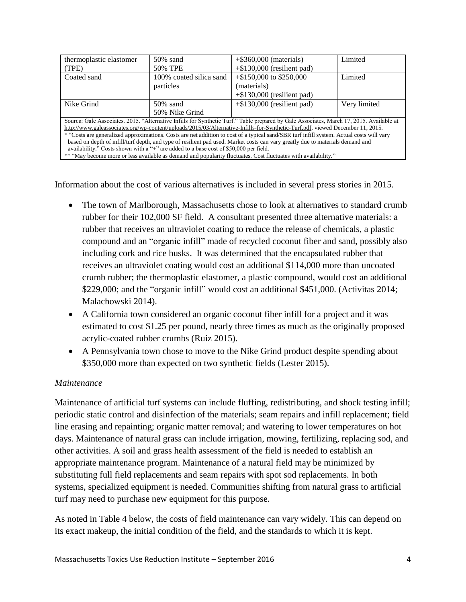| thermoplastic elastomer                                                                                                                  | $50\%$ sand                                                                                                    | $+$ \$360,000 (materials)     | Limited      |
|------------------------------------------------------------------------------------------------------------------------------------------|----------------------------------------------------------------------------------------------------------------|-------------------------------|--------------|
| (TPE)                                                                                                                                    | 50% TPE                                                                                                        | $+$ \$130,000 (resilient pad) |              |
| Coated sand                                                                                                                              | 100% coated silica sand                                                                                        | $+\$150,000$ to \$250,000     | Limited      |
|                                                                                                                                          | particles                                                                                                      | (materials)                   |              |
|                                                                                                                                          |                                                                                                                | $+$ \$130,000 (resilient pad) |              |
| Nike Grind                                                                                                                               | $50\%$ sand                                                                                                    | $+$ \$130,000 (resilient pad) | Very limited |
|                                                                                                                                          | 50% Nike Grind                                                                                                 |                               |              |
| Source: Gale Associates. 2015. "Alternative Infills for Synthetic Turf." Table prepared by Gale Associates, March 17, 2015. Available at |                                                                                                                |                               |              |
| http://www.galeassociates.org/wp-content/uploads/2015/03/Alternative-Infills-for-Synthetic-Turf.pdf, viewed December 11, 2015.           |                                                                                                                |                               |              |
| * "Costs are generalized approximations. Costs are net addition to cost of a typical sand/SBR turf infill system. Actual costs will vary |                                                                                                                |                               |              |
| based on depth of infill/turf depth, and type of resilient pad used. Market costs can vary greatly due to materials demand and           |                                                                                                                |                               |              |
| availability." Costs shown with a "+" are added to a base cost of \$50,000 per field.                                                    |                                                                                                                |                               |              |
|                                                                                                                                          | ** "May become more or less available as demand and popularity fluctuates. Cost fluctuates with availability." |                               |              |

Information about the cost of various alternatives is included in several press stories in 2015.

- The town of Marlborough, Massachusetts chose to look at alternatives to standard crumb rubber for their 102,000 SF field. A consultant presented three alternative materials: a rubber that receives an ultraviolet coating to reduce the release of chemicals, a plastic compound and an "organic infill" made of recycled coconut fiber and sand, possibly also including cork and rice husks. It was determined that the encapsulated rubber that receives an ultraviolet coating would cost an additional \$114,000 more than uncoated crumb rubber; the thermoplastic elastomer, a plastic compound, would cost an additional \$229,000; and the "organic infill" would cost an additional \$451,000. (Activitas 2014; Malachowski 2014).
- A California town considered an organic coconut fiber infill for a project and it was estimated to cost \$1.25 per pound, nearly three times as much as the originally proposed acrylic-coated rubber crumbs (Ruiz 2015).
- A Pennsylvania town chose to move to the Nike Grind product despite spending about \$350,000 more than expected on two synthetic fields (Lester 2015).

# *Maintenance*

Maintenance of artificial turf systems can include fluffing, redistributing, and shock testing infill; periodic static control and disinfection of the materials; seam repairs and infill replacement; field line erasing and repainting; organic matter removal; and watering to lower temperatures on hot days. Maintenance of natural grass can include irrigation, mowing, fertilizing, replacing sod, and other activities. A soil and grass health assessment of the field is needed to establish an appropriate maintenance program. Maintenance of a natural field may be minimized by substituting full field replacements and seam repairs with spot sod replacements. In both systems, specialized equipment is needed. Communities shifting from natural grass to artificial turf may need to purchase new equipment for this purpose.

As noted in Table 4 below, the costs of field maintenance can vary widely. This can depend on its exact makeup, the initial condition of the field, and the standards to which it is kept.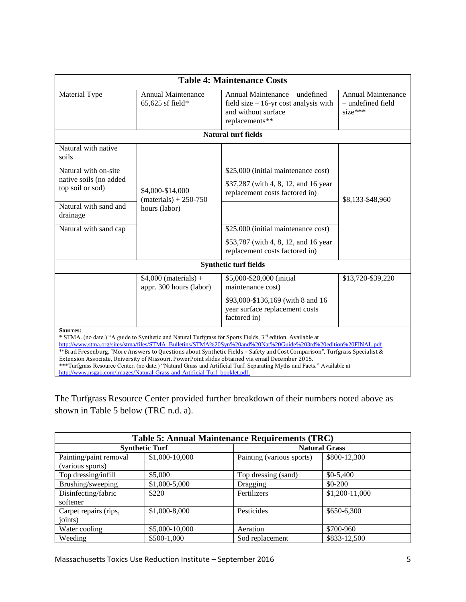| <b>Table 4: Maintenance Costs</b>                                              |                                                                            |                                                                                                                                                                                                                                                                                                                                                                                                                                                                                                                                                                                                       |                                                      |  |
|--------------------------------------------------------------------------------|----------------------------------------------------------------------------|-------------------------------------------------------------------------------------------------------------------------------------------------------------------------------------------------------------------------------------------------------------------------------------------------------------------------------------------------------------------------------------------------------------------------------------------------------------------------------------------------------------------------------------------------------------------------------------------------------|------------------------------------------------------|--|
| Material Type                                                                  | Annual Maintenance -<br>$65,625$ sf field*                                 | Annual Maintenance – undefined<br>field size $-16$ -yr cost analysis with<br>and without surface<br>replacements**                                                                                                                                                                                                                                                                                                                                                                                                                                                                                    | Annual Maintenance<br>- undefined field<br>$size***$ |  |
|                                                                                |                                                                            | <b>Natural turf fields</b>                                                                                                                                                                                                                                                                                                                                                                                                                                                                                                                                                                            |                                                      |  |
| Natural with native<br>soils<br>Natural with on-site<br>native soils (no added |                                                                            | \$25,000 (initial maintenance cost)                                                                                                                                                                                                                                                                                                                                                                                                                                                                                                                                                                   |                                                      |  |
| top soil or sod)                                                               | \$4,000-\$14,000<br>$(materials) + 250-750$                                | \$37,287 (with 4, 8, 12, and 16 year)<br>replacement costs factored in)                                                                                                                                                                                                                                                                                                                                                                                                                                                                                                                               | \$8,133-\$48,960                                     |  |
| Natural with sand and<br>drainage                                              | hours (labor)                                                              |                                                                                                                                                                                                                                                                                                                                                                                                                                                                                                                                                                                                       |                                                      |  |
| Natural with sand cap                                                          |                                                                            | \$25,000 (initial maintenance cost)                                                                                                                                                                                                                                                                                                                                                                                                                                                                                                                                                                   |                                                      |  |
|                                                                                |                                                                            | \$53,787 (with 4, 8, 12, and 16 year<br>replacement costs factored in)                                                                                                                                                                                                                                                                                                                                                                                                                                                                                                                                |                                                      |  |
|                                                                                |                                                                            | <b>Synthetic turf fields</b>                                                                                                                                                                                                                                                                                                                                                                                                                                                                                                                                                                          |                                                      |  |
|                                                                                | $$4,000$ (materials) +<br>appr. 300 hours (labor)                          | \$5,000-\$20,000 (initial<br>maintenance cost)<br>\$93,000-\$136,169 (with 8 and 16<br>year surface replacement costs<br>factored in)                                                                                                                                                                                                                                                                                                                                                                                                                                                                 | \$13,720-\$39,220                                    |  |
| <b>Sources:</b>                                                                | http://www.nsgao.com/images/Natural-Grass-and-Artificial-Turf_booklet.pdf. | * STMA. (no date.) "A guide to Synthetic and Natural Turfgrass for Sports Fields, 3 <sup>rd</sup> edition. Available at<br>http://www.stma.org/sites/stma/files/STMA_Bulletins/STMA%20Syn%20and%20Nat%20Guide%203rd%20edition%20FINAL.pdf<br>**Brad Fresenburg, "More Answers to Questions about Synthetic Fields - Safety and Cost Comparison", Turfgrass Specialist &<br>Extension Associate, University of Missouri. PowerPoint slides obtained via email December 2015.<br>***Turfgrass Resource Center. (no date.) "Natural Grass and Artificial Turf: Separating Myths and Facts." Available at |                                                      |  |

The Turfgrass Resource Center provided further breakdown of their numbers noted above as shown in Table 5 below (TRC n.d. a).

| <b>Table 5: Annual Maintenance Requirements (TRC)</b> |                       |                           |                      |
|-------------------------------------------------------|-----------------------|---------------------------|----------------------|
|                                                       | <b>Synthetic Turf</b> |                           | <b>Natural Grass</b> |
| Painting/paint removal                                | \$1,000-10,000        | Painting (various sports) | \$800-12,300         |
| (various sports)                                      |                       |                           |                      |
| Top dressing/infill                                   | \$5,000               | Top dressing (sand)       | $$0-5,400$           |
| Brushing/sweeping                                     | \$1,000-5,000         | Dragging                  | $$0-200$             |
| Disinfecting/fabric                                   | \$220                 | Fertilizers               | \$1,200-11,000       |
| softener                                              |                       |                           |                      |
| Carpet repairs (rips,                                 | \$1,000-8,000         | Pesticides                | \$650-6,300          |
| joints)                                               |                       |                           |                      |
| Water cooling                                         | \$5,000-10,000        | Aeration                  | \$700-960            |
| Weeding                                               | \$500-1,000           | Sod replacement           | \$833-12,500         |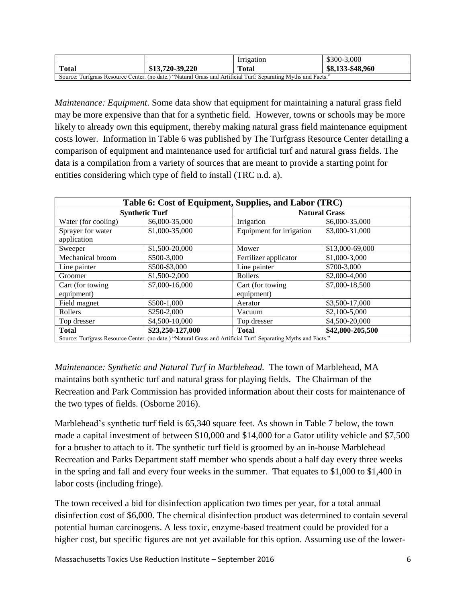|                                                                                                                |                 | Irrigation   | \$300-3,000      |
|----------------------------------------------------------------------------------------------------------------|-----------------|--------------|------------------|
| <b>Total</b>                                                                                                   | \$13,720-39,220 | <b>Total</b> | \$8,133-\$48,960 |
| Source: Turfgrass Resource Center. (no date.) "Natural Grass and Artificial Turf: Separating Myths and Facts." |                 |              |                  |

*Maintenance: Equipment.* Some data show that equipment for maintaining a natural grass field may be more expensive than that for a synthetic field. However, towns or schools may be more likely to already own this equipment, thereby making natural grass field maintenance equipment costs lower. Information in Table 6 was published by The Turfgrass Resource Center detailing a comparison of equipment and maintenance used for artificial turf and natural grass fields. The data is a compilation from a variety of sources that are meant to provide a starting point for entities considering which type of field to install (TRC n.d. a).

| Table 6: Cost of Equipment, Supplies, and Labor (TRC) |                                                                                                                |                          |                      |  |
|-------------------------------------------------------|----------------------------------------------------------------------------------------------------------------|--------------------------|----------------------|--|
|                                                       | <b>Synthetic Turf</b>                                                                                          |                          | <b>Natural Grass</b> |  |
| Water (for cooling)                                   | \$6,000-35,000                                                                                                 | Irrigation               | \$6,000-35,000       |  |
| Sprayer for water                                     | \$1,000-35,000                                                                                                 | Equipment for irrigation | \$3,000-31,000       |  |
| application                                           |                                                                                                                |                          |                      |  |
| Sweeper                                               | \$1,500-20,000                                                                                                 | Mower                    | \$13,000-69,000      |  |
| Mechanical broom                                      | \$500-3,000                                                                                                    | Fertilizer applicator    | \$1,000-3,000        |  |
| Line painter                                          | \$500-\$3,000                                                                                                  | Line painter             | \$700-3,000          |  |
| Groomer                                               | \$1,500-2,000                                                                                                  | Rollers                  | \$2,000-4,000        |  |
| Cart (for towing                                      | \$7,000-16,000                                                                                                 | Cart (for towing         | \$7,000-18,500       |  |
| equipment)                                            |                                                                                                                | equipment)               |                      |  |
| Field magnet                                          | \$500-1,000                                                                                                    | Aerator                  | \$3,500-17,000       |  |
| Rollers                                               | \$250-2,000                                                                                                    | Vacuum                   | \$2,100-5,000        |  |
| Top dresser                                           | \$4,500-10,000                                                                                                 | Top dresser              | \$4,500-20,000       |  |
| <b>Total</b>                                          | \$23,250-127,000                                                                                               | <b>Total</b>             | \$42,800-205,500     |  |
|                                                       | Source: Turfgrass Resource Center. (no date.) "Natural Grass and Artificial Turf: Separating Myths and Facts." |                          |                      |  |

*Maintenance: Synthetic and Natural Turf in Marblehead.* The town of Marblehead, MA maintains both synthetic turf and natural grass for playing fields. The Chairman of the Recreation and Park Commission has provided information about their costs for maintenance of the two types of fields. (Osborne 2016).

Marblehead's synthetic turf field is 65,340 square feet. As shown in Table 7 below, the town made a capital investment of between \$10,000 and \$14,000 for a Gator utility vehicle and \$7,500 for a brusher to attach to it. The synthetic turf field is groomed by an in-house Marblehead Recreation and Parks Department staff member who spends about a half day every three weeks in the spring and fall and every four weeks in the summer. That equates to \$1,000 to \$1,400 in labor costs (including fringe).

The town received a bid for disinfection application two times per year, for a total annual disinfection cost of \$6,000. The chemical disinfection product was determined to contain several potential human carcinogens. A less toxic, enzyme-based treatment could be provided for a higher cost, but specific figures are not yet available for this option. Assuming use of the lower-

Massachusetts Toxics Use Reduction Institute – September 2016 6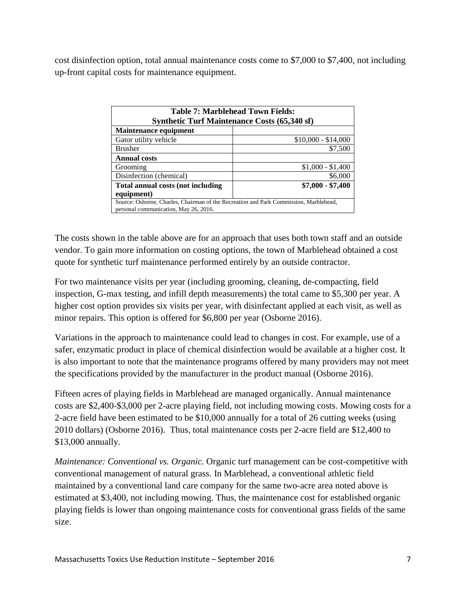cost disinfection option, total annual maintenance costs come to \$7,000 to \$7,400, not including up-front capital costs for maintenance equipment.

| Table 7: Marblehead Town Fields:      |                                                                                       |  |
|---------------------------------------|---------------------------------------------------------------------------------------|--|
|                                       | <b>Synthetic Turf Maintenance Costs (65,340 sf)</b>                                   |  |
| <b>Maintenance equipment</b>          |                                                                                       |  |
| Gator utility vehicle                 | $$10,000 - $14,000$                                                                   |  |
| <b>Brusher</b>                        | \$7,500                                                                               |  |
| <b>Annual costs</b>                   |                                                                                       |  |
| Grooming                              | $$1,000 - $1,400$                                                                     |  |
| Disinfection (chemical)               | \$6,000                                                                               |  |
| Total annual costs (not including     | $$7,000 - $7,400$                                                                     |  |
| equipment)                            |                                                                                       |  |
|                                       | Source: Osborne, Charles, Chairman of the Recreation and Park Commission, Marblehead, |  |
| personal communication, May 26, 2016. |                                                                                       |  |

The costs shown in the table above are for an approach that uses both town staff and an outside vendor. To gain more information on costing options, the town of Marblehead obtained a cost quote for synthetic turf maintenance performed entirely by an outside contractor.

For two maintenance visits per year (including grooming, cleaning, de-compacting, field inspection, G-max testing, and infill depth measurements) the total came to \$5,300 per year. A higher cost option provides six visits per year, with disinfectant applied at each visit, as well as minor repairs. This option is offered for \$6,800 per year (Osborne 2016).

Variations in the approach to maintenance could lead to changes in cost. For example, use of a safer, enzymatic product in place of chemical disinfection would be available at a higher cost. It is also important to note that the maintenance programs offered by many providers may not meet the specifications provided by the manufacturer in the product manual (Osborne 2016).

Fifteen acres of playing fields in Marblehead are managed organically. Annual maintenance costs are \$2,400-\$3,000 per 2-acre playing field, not including mowing costs. Mowing costs for a 2-acre field have been estimated to be \$10,000 annually for a total of 26 cutting weeks (using 2010 dollars) (Osborne 2016). Thus, total maintenance costs per 2-acre field are \$12,400 to \$13,000 annually.

*Maintenance: Conventional vs. Organic.* Organic turf management can be cost-competitive with conventional management of natural grass. In Marblehead, a conventional athletic field maintained by a conventional land care company for the same two-acre area noted above is estimated at \$3,400, not including mowing. Thus, the maintenance cost for established organic playing fields is lower than ongoing maintenance costs for conventional grass fields of the same size.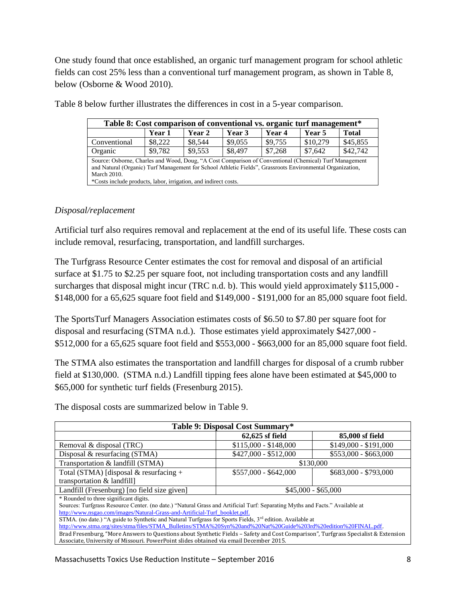One study found that once established, an organic turf management program for school athletic fields can cost 25% less than a conventional turf management program, as shown in Table 8, below (Osborne & Wood 2010).

| Table 8: Cost comparison of conventional vs. organic turf management*                                                                                                                                               |               |         |         |         |          |              |
|---------------------------------------------------------------------------------------------------------------------------------------------------------------------------------------------------------------------|---------------|---------|---------|---------|----------|--------------|
|                                                                                                                                                                                                                     | <b>Year 1</b> | Year 2  | Year 3  | Year 4  | Year 5   | <b>Total</b> |
| Conventional                                                                                                                                                                                                        | \$8,222       | \$8,544 | \$9,055 | \$9,755 | \$10,279 | \$45,855     |
| Organic                                                                                                                                                                                                             | \$9,782       | \$9,553 | \$8,497 | \$7,268 | \$7.642  | \$42,742     |
| Source: Osborne, Charles and Wood, Doug, "A Cost Comparison of Conventional (Chemical) Turf Management<br>and Natural (Organic) Turf Management for School Athletic Fields", Grassroots Environmental Organization, |               |         |         |         |          |              |
| <b>March 2010.</b>                                                                                                                                                                                                  |               |         |         |         |          |              |
| *Costs include products, labor, irrigation, and indirect costs.                                                                                                                                                     |               |         |         |         |          |              |

Table 8 below further illustrates the differences in cost in a 5-year comparison.

#### *Disposal/replacement*

Artificial turf also requires removal and replacement at the end of its useful life. These costs can include removal, resurfacing, transportation, and landfill surcharges.

The Turfgrass Resource Center estimates the cost for removal and disposal of an artificial surface at \$1.75 to \$2.25 per square foot, not including transportation costs and any landfill surcharges that disposal might incur (TRC n.d. b). This would yield approximately \$115,000 - \$148,000 for a 65,625 square foot field and \$149,000 - \$191,000 for an 85,000 square foot field.

The SportsTurf Managers Association estimates costs of \$6.50 to \$7.80 per square foot for disposal and resurfacing (STMA n.d.). Those estimates yield approximately \$427,000 - \$512,000 for a 65,625 square foot field and \$553,000 - \$663,000 for an 85,000 square foot field.

The STMA also estimates the transportation and landfill charges for disposal of a crumb rubber field at \$130,000. (STMA n.d.) Landfill tipping fees alone have been estimated at \$45,000 to \$65,000 for synthetic turf fields (Fresenburg 2015).

| Table 9: Disposal Cost Summary*                                                                                                    |                       |                       |  |
|------------------------------------------------------------------------------------------------------------------------------------|-----------------------|-----------------------|--|
|                                                                                                                                    | $62,625$ sf field     | 85,000 sf field       |  |
| Removal & disposal (TRC)                                                                                                           | $$115,000 - $148,000$ | $$149,000 - $191,000$ |  |
| Disposal $&$ resurfacing (STMA)                                                                                                    | $$427,000 - $512,000$ | $$553,000 - $663,000$ |  |
| Transportation & landfill (STMA)                                                                                                   |                       | \$130,000             |  |
| Total (STMA) [disposal $&$ resurfacing +                                                                                           | $$557,000 - $642,000$ | $$683,000 - $793,000$ |  |
| transportation & landfill]                                                                                                         |                       |                       |  |
| Landfill (Fresenburg) [no field size given]                                                                                        | $$45,000 - $65,000$   |                       |  |
| * Rounded to three significant digits.                                                                                             |                       |                       |  |
| Sources: Turfgrass Resource Center. (no date.) "Natural Grass and Artificial Turf: Separating Myths and Facts." Available at       |                       |                       |  |
| http://www.nsgao.com/images/Natural-Grass-and-Artificial-Turf_booklet.pdf.                                                         |                       |                       |  |
| STMA. (no date.) "A guide to Synthetic and Natural Turfgrass for Sports Fields, 3 <sup>rd</sup> edition. Available at              |                       |                       |  |
| http://www.stma.org/sites/stma/files/STMA_Bulletins/STMA%20Syn%20and%20Nat%20Guide%203rd%20edition%20FINAL.pdf.                    |                       |                       |  |
| Brad Fresenburg, "More Answers to Questions about Synthetic Fields – Safety and Cost Comparison", Turfgrass Specialist & Extension |                       |                       |  |
| Associate, University of Missouri. PowerPoint slides obtained via email December 2015.                                             |                       |                       |  |

The disposal costs are summarized below in Table 9.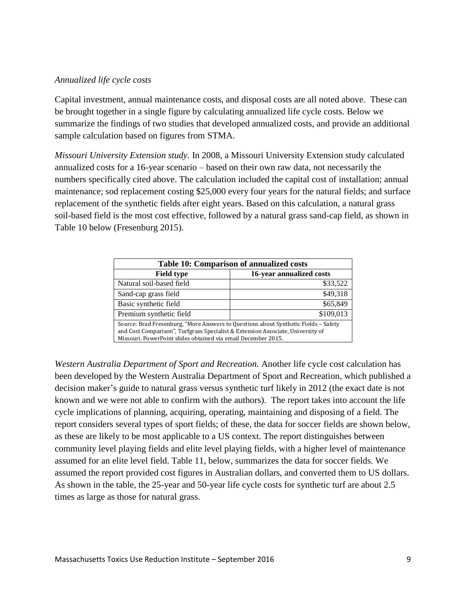#### *Annualized life cycle costs*

Capital investment, annual maintenance costs, and disposal costs are all noted above. These can be brought together in a single figure by calculating annualized life cycle costs. Below we summarize the findings of two studies that developed annualized costs, and provide an additional sample calculation based on figures from STMA.

*Missouri University Extension study.* In 2008, a Missouri University Extension study calculated annualized costs for a 16-year scenario – based on their own raw data, not necessarily the numbers specifically cited above. The calculation included the capital cost of installation; annual maintenance; sod replacement costing \$25,000 every four years for the natural fields; and surface replacement of the synthetic fields after eight years. Based on this calculation, a natural grass soil-based field is the most cost effective, followed by a natural grass sand-cap field, as shown in Table 10 below (Fresenburg 2015).

| Table 10: Comparison of annualized costs                                                                                                                                                                                                |                          |  |
|-----------------------------------------------------------------------------------------------------------------------------------------------------------------------------------------------------------------------------------------|--------------------------|--|
| <b>Field type</b>                                                                                                                                                                                                                       | 16-year annualized costs |  |
| Natural soil-based field                                                                                                                                                                                                                | \$33,522                 |  |
| Sand-cap grass field                                                                                                                                                                                                                    | \$49,318                 |  |
| Basic synthetic field                                                                                                                                                                                                                   | \$65,849                 |  |
| Premium synthetic field                                                                                                                                                                                                                 | \$109,013                |  |
| Source: Brad Fresenburg, "More Answers to Questions about Synthetic Fields - Safety<br>and Cost Comparison", Turfgrass Specialist & Extension Associate, University of<br>Missouri. PowerPoint slides obtained via email December 2015. |                          |  |

*Western Australia Department of Sport and Recreation.* Another life cycle cost calculation has been developed by the Western Australia Department of Sport and Recreation, which published a decision maker's guide to natural grass versus synthetic turf likely in 2012 (the exact date is not known and we were not able to confirm with the authors). The report takes into account the life cycle implications of planning, acquiring, operating, maintaining and disposing of a field. The report considers several types of sport fields; of these, the data for soccer fields are shown below, as these are likely to be most applicable to a US context. The report distinguishes between community level playing fields and elite level playing fields, with a higher level of maintenance assumed for an elite level field. Table 11, below, summarizes the data for soccer fields. We assumed the report provided cost figures in Australian dollars, and converted them to US dollars. As shown in the table, the 25-year and 50-year life cycle costs for synthetic turf are about 2.5 times as large as those for natural grass.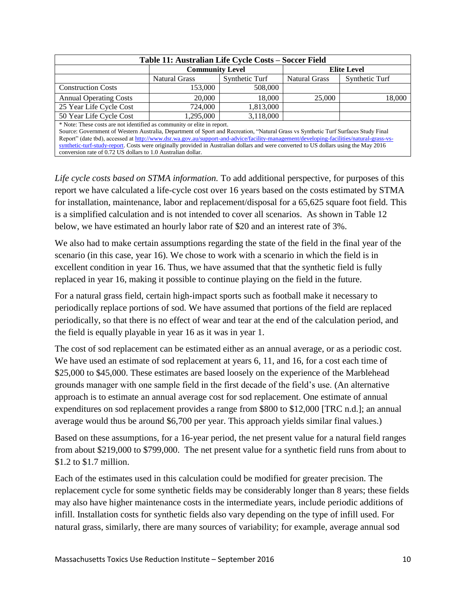| Table 11: Australian Life Cycle Costs – Soccer Field                                                                                                                                                          |                        |                |                      |                |  |  |  |
|---------------------------------------------------------------------------------------------------------------------------------------------------------------------------------------------------------------|------------------------|----------------|----------------------|----------------|--|--|--|
|                                                                                                                                                                                                               | <b>Community Level</b> |                | <b>Elite Level</b>   |                |  |  |  |
|                                                                                                                                                                                                               | <b>Natural Grass</b>   | Synthetic Turf | <b>Natural Grass</b> | Synthetic Turf |  |  |  |
| <b>Construction Costs</b>                                                                                                                                                                                     | 153,000                | 508,000        |                      |                |  |  |  |
| <b>Annual Operating Costs</b>                                                                                                                                                                                 | 20,000                 | 18,000         | 25,000               | 18,000         |  |  |  |
| 25 Year Life Cycle Cost                                                                                                                                                                                       | 724,000                | 1,813,000      |                      |                |  |  |  |
| 50 Year Life Cycle Cost                                                                                                                                                                                       | 1,295,000              | 3,118,000      |                      |                |  |  |  |
| * Note: These costs are not identified as community or elite in report.<br>Source: Government of Western Australia, Department of Sport and Recreation, "Natural Grass vs Synthetic Turf Surfaces Study Final |                        |                |                      |                |  |  |  |
| Report" (date tbd), accessed at http://www.dsr.wa.gov.au/support-and-advice/facility-management/developing-facilities/natural-grass-vs-                                                                       |                        |                |                      |                |  |  |  |
| synthetic-turf-study-report. Costs were originally provided in Australian dollars and were converted to US dollars using the May 2016                                                                         |                        |                |                      |                |  |  |  |
| conversion rate of 0.72 US dollars to 1.0 Australian dollar.                                                                                                                                                  |                        |                |                      |                |  |  |  |

*Life cycle costs based on STMA information.* To add additional perspective, for purposes of this report we have calculated a life-cycle cost over 16 years based on the costs estimated by STMA for installation, maintenance, labor and replacement/disposal for a 65,625 square foot field. This is a simplified calculation and is not intended to cover all scenarios. As shown in Table 12 below, we have estimated an hourly labor rate of \$20 and an interest rate of 3%.

We also had to make certain assumptions regarding the state of the field in the final year of the scenario (in this case, year 16). We chose to work with a scenario in which the field is in excellent condition in year 16. Thus, we have assumed that that the synthetic field is fully replaced in year 16, making it possible to continue playing on the field in the future.

For a natural grass field, certain high-impact sports such as football make it necessary to periodically replace portions of sod. We have assumed that portions of the field are replaced periodically, so that there is no effect of wear and tear at the end of the calculation period, and the field is equally playable in year 16 as it was in year 1.

The cost of sod replacement can be estimated either as an annual average, or as a periodic cost. We have used an estimate of sod replacement at years 6, 11, and 16, for a cost each time of \$25,000 to \$45,000. These estimates are based loosely on the experience of the Marblehead grounds manager with one sample field in the first decade of the field's use. (An alternative approach is to estimate an annual average cost for sod replacement. One estimate of annual expenditures on sod replacement provides a range from \$800 to \$12,000 [TRC n.d.]; an annual average would thus be around \$6,700 per year. This approach yields similar final values.)

Based on these assumptions, for a 16-year period, the net present value for a natural field ranges from about \$219,000 to \$799,000. The net present value for a synthetic field runs from about to \$1.2 to \$1.7 million.

Each of the estimates used in this calculation could be modified for greater precision. The replacement cycle for some synthetic fields may be considerably longer than 8 years; these fields may also have higher maintenance costs in the intermediate years, include periodic additions of infill. Installation costs for synthetic fields also vary depending on the type of infill used. For natural grass, similarly, there are many sources of variability; for example, average annual sod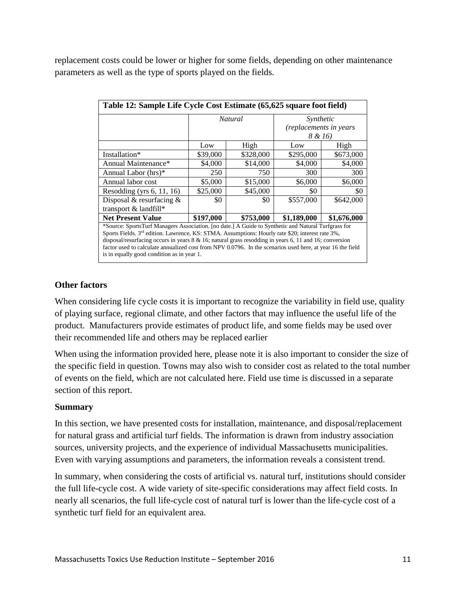replacement costs could be lower or higher for some fields, depending on other maintenance parameters as well as the type of sports played on the fields.

| Table 12: Sample Life Cycle Cost Estimate (65,625 square foot field)                                                                                                                                                                                                                                                                                                                                                                                                                |                |           |                                     |             |  |  |  |
|-------------------------------------------------------------------------------------------------------------------------------------------------------------------------------------------------------------------------------------------------------------------------------------------------------------------------------------------------------------------------------------------------------------------------------------------------------------------------------------|----------------|-----------|-------------------------------------|-------------|--|--|--|
|                                                                                                                                                                                                                                                                                                                                                                                                                                                                                     | <b>Natural</b> |           | Synthetic<br>(replacements in years |             |  |  |  |
|                                                                                                                                                                                                                                                                                                                                                                                                                                                                                     |                |           |                                     |             |  |  |  |
|                                                                                                                                                                                                                                                                                                                                                                                                                                                                                     |                |           | 8 & 16)                             |             |  |  |  |
|                                                                                                                                                                                                                                                                                                                                                                                                                                                                                     | Low            | High      | Low                                 | High        |  |  |  |
| Installation*                                                                                                                                                                                                                                                                                                                                                                                                                                                                       | \$39,000       | \$328,000 | \$295,000                           | \$673,000   |  |  |  |
| Annual Maintenance*                                                                                                                                                                                                                                                                                                                                                                                                                                                                 | \$4,000        | \$14,000  | \$4,000                             | \$4,000     |  |  |  |
| Annual Labor (hrs)*                                                                                                                                                                                                                                                                                                                                                                                                                                                                 | 250            | 750       | 300                                 | 300         |  |  |  |
| Annual labor cost                                                                                                                                                                                                                                                                                                                                                                                                                                                                   | \$5,000        | \$15,000  | \$6,000                             | \$6,000     |  |  |  |
| Resodding (yrs $6, 11, 16$ )                                                                                                                                                                                                                                                                                                                                                                                                                                                        | \$25,000       | \$45,000  | \$0                                 | \$0         |  |  |  |
| Disposal & resurfacing $\&$                                                                                                                                                                                                                                                                                                                                                                                                                                                         | \$0            | \$0       | \$557,000                           | \$642,000   |  |  |  |
| transport & landfill*                                                                                                                                                                                                                                                                                                                                                                                                                                                               |                |           |                                     |             |  |  |  |
| <b>Net Present Value</b>                                                                                                                                                                                                                                                                                                                                                                                                                                                            | \$197,000      | \$753,000 | \$1,189,000                         | \$1,676,000 |  |  |  |
| *Source: SportsTurf Managers Association. [no date.] A Guide to Synthetic and Natural Turfgrass for<br>Sports Fields. $3rd$ edition. Lawrence, KS: STMA. Assumptions: Hourly rate \$20; interest rate 3%,<br>disposal/resurfacing occurs in years $8 \& 16$ ; natural grass resodding in years 6, 11 and 16; conversion<br>factor used to calculate annualized cost from NPV 0.0796. In the scenarios used here, at year 16 the field<br>is in equally good condition as in year 1. |                |           |                                     |             |  |  |  |

# **Other factors**

When considering life cycle costs it is important to recognize the variability in field use, quality of playing surface, regional climate, and other factors that may influence the useful life of the product. Manufacturers provide estimates of product life, and some fields may be used over their recommended life and others may be replaced earlier

When using the information provided here, please note it is also important to consider the size of the specific field in question. Towns may also wish to consider cost as related to the total number of events on the field, which are not calculated here. Field use time is discussed in a separate section of this report.

# **Summary**

In this section, we have presented costs for installation, maintenance, and disposal/replacement for natural grass and artificial turf fields. The information is drawn from industry association sources, university projects, and the experience of individual Massachusetts municipalities. Even with varying assumptions and parameters, the information reveals a consistent trend.

In summary, when considering the costs of artificial vs. natural turf, institutions should consider the full life-cycle cost. A wide variety of site-specific considerations may affect field costs. In nearly all scenarios, the full life-cycle cost of natural turf is lower than the life-cycle cost of a synthetic turf field for an equivalent area.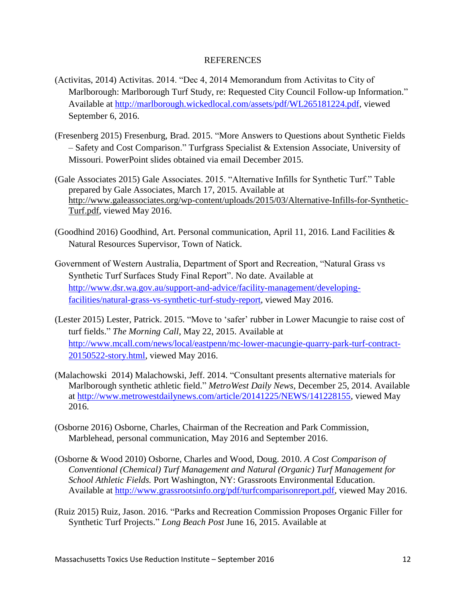#### REFERENCES

- (Activitas, 2014) Activitas. 2014. "Dec 4, 2014 Memorandum from Activitas to City of Marlborough: Marlborough Turf Study, re: Requested City Council Follow-up Information." Available at [http://marlborough.wickedlocal.com/assets/pdf/WL265181224.pdf,](http://marlborough.wickedlocal.com/assets/pdf/WL265181224.pdf) viewed September 6, 2016.
- (Fresenberg 2015) Fresenburg, Brad. 2015. "More Answers to Questions about Synthetic Fields – Safety and Cost Comparison." Turfgrass Specialist & Extension Associate, University of Missouri. PowerPoint slides obtained via email December 2015.
- (Gale Associates 2015) Gale Associates. 2015. "Alternative Infills for Synthetic Turf." Table prepared by Gale Associates, March 17, 2015. Available at [http://www.galeassociates.org/wp-content/uploads/2015/03/Alternative-Infills-for-Synthetic-](http://www.galeassociates.org/wp-content/uploads/2015/03/Alternative-Infills-for-Synthetic-Turf.pdf)[Turf.pdf,](http://www.galeassociates.org/wp-content/uploads/2015/03/Alternative-Infills-for-Synthetic-Turf.pdf) viewed May 2016.
- (Goodhind 2016) Goodhind, Art. Personal communication, April 11, 2016. [Land Facilities &](http://www.natickma.gov/Directory.aspx?DID=31)  [Natural Resources](http://www.natickma.gov/Directory.aspx?DID=31) Supervisor, Town of Natick.
- Government of Western Australia, Department of Sport and Recreation, "Natural Grass vs Synthetic Turf Surfaces Study Final Report". No date. Available at [http://www.dsr.wa.gov.au/support-and-advice/facility-management/developing](http://www.dsr.wa.gov.au/support-and-advice/facility-management/developing-facilities/natural-grass-vs-synthetic-turf-study-report)[facilities/natural-grass-vs-synthetic-turf-study-report,](http://www.dsr.wa.gov.au/support-and-advice/facility-management/developing-facilities/natural-grass-vs-synthetic-turf-study-report) viewed May 2016.
- (Lester 2015) Lester, Patrick. 2015. "Move to 'safer' rubber in Lower Macungie to raise cost of turf fields." *The Morning Call*, May 22, 2015. Available at [http://www.mcall.com/news/local/eastpenn/mc-lower-macungie-quarry-park-turf-contract-](http://www.mcall.com/news/local/eastpenn/mc-lower-macungie-quarry-park-turf-contract-20150522-story.html)[20150522-story.html,](http://www.mcall.com/news/local/eastpenn/mc-lower-macungie-quarry-park-turf-contract-20150522-story.html) viewed May 2016.
- (Malachowski 2014) Malachowski, Jeff. 2014. "Consultant presents alternative materials for Marlborough synthetic athletic field." *MetroWest Daily News*, December 25, 2014. Available at [http://www.metrowestdailynews.com/article/20141225/NEWS/141228155,](http://www.metrowestdailynews.com/article/20141225/NEWS/141228155) viewed May 2016.
- (Osborne 2016) Osborne, Charles, Chairman of the Recreation and Park Commission, Marblehead, personal communication, May 2016 and September 2016.
- (Osborne & Wood 2010) Osborne, Charles and Wood, Doug. 2010. *A Cost Comparison of Conventional (Chemical) Turf Management and Natural (Organic) Turf Management for School Athletic Fields.* Port Washington, NY: Grassroots Environmental Education. Available at [http://www.grassrootsinfo.org/pdf/turfcomparisonreport.pdf,](http://www.grassrootsinfo.org/pdf/turfcomparisonreport.pdf) viewed May 2016.
- (Ruiz 2015) Ruiz, Jason. 2016. "Parks and Recreation Commission Proposes Organic Filler for Synthetic Turf Projects." *Long Beach Post* June 16, 2015. Available at